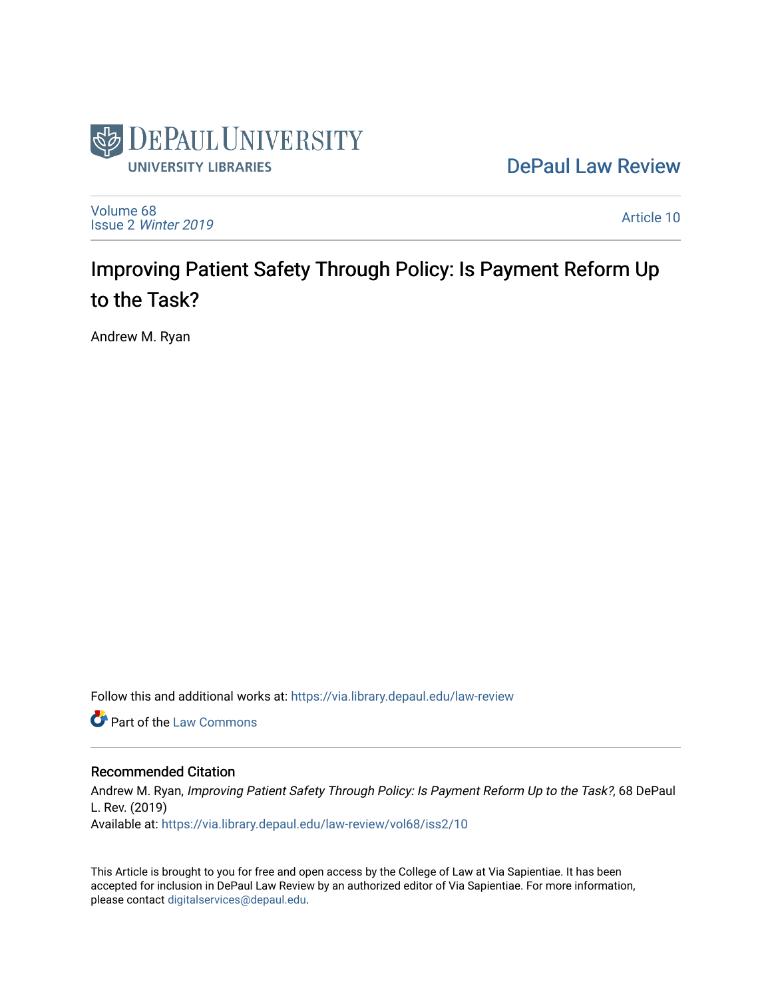

[DePaul Law Review](https://via.library.depaul.edu/law-review) 

[Volume 68](https://via.library.depaul.edu/law-review/vol68) Issue 2 [Winter 2019](https://via.library.depaul.edu/law-review/vol68/iss2) 

[Article 10](https://via.library.depaul.edu/law-review/vol68/iss2/10) 

# Improving Patient Safety Through Policy: Is Payment Reform Up to the Task?

Andrew M. Ryan

Follow this and additional works at: [https://via.library.depaul.edu/law-review](https://via.library.depaul.edu/law-review?utm_source=via.library.depaul.edu%2Flaw-review%2Fvol68%2Fiss2%2F10&utm_medium=PDF&utm_campaign=PDFCoverPages) 

**C** Part of the [Law Commons](http://network.bepress.com/hgg/discipline/578?utm_source=via.library.depaul.edu%2Flaw-review%2Fvol68%2Fiss2%2F10&utm_medium=PDF&utm_campaign=PDFCoverPages)

# Recommended Citation

Andrew M. Ryan, Improving Patient Safety Through Policy: Is Payment Reform Up to the Task?, 68 DePaul L. Rev. (2019) Available at: [https://via.library.depaul.edu/law-review/vol68/iss2/10](https://via.library.depaul.edu/law-review/vol68/iss2/10?utm_source=via.library.depaul.edu%2Flaw-review%2Fvol68%2Fiss2%2F10&utm_medium=PDF&utm_campaign=PDFCoverPages)

This Article is brought to you for free and open access by the College of Law at Via Sapientiae. It has been accepted for inclusion in DePaul Law Review by an authorized editor of Via Sapientiae. For more information, please contact [digitalservices@depaul.edu.](mailto:digitalservices@depaul.edu)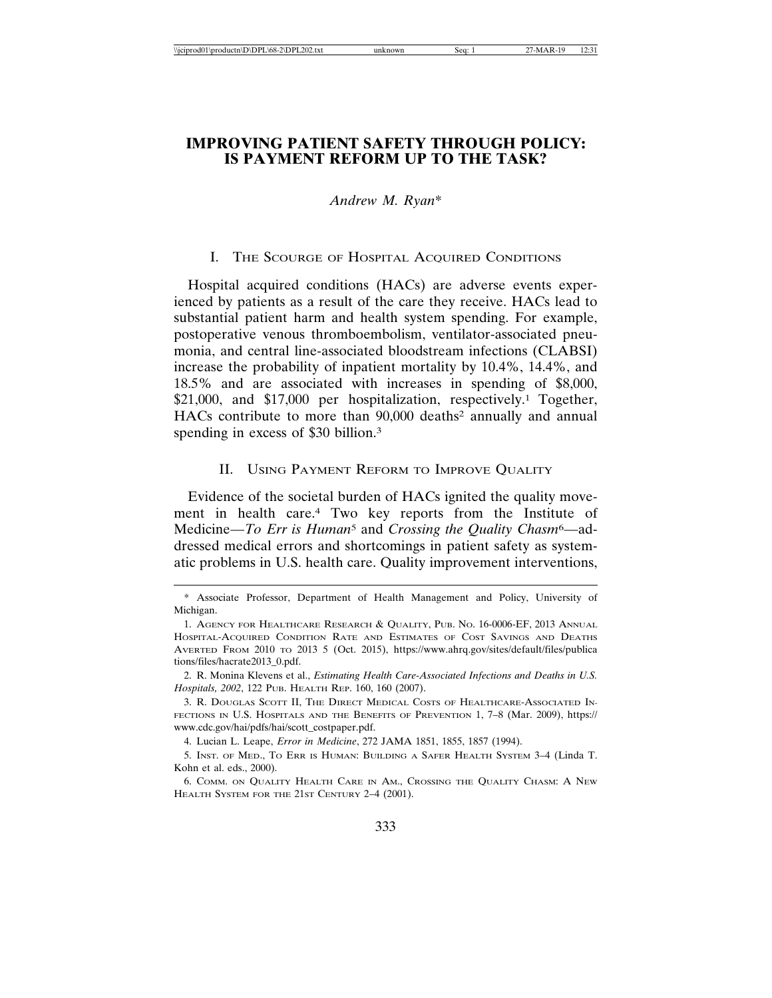## **IMPROVING PATIENT SAFETY THROUGH POLICY: IS PAYMENT REFORM UP TO THE TASK?**

#### *Andrew M. Ryan*\*

#### I. THE SCOURGE OF HOSPITAL ACQUIRED CONDITIONS

Hospital acquired conditions (HACs) are adverse events experienced by patients as a result of the care they receive. HACs lead to substantial patient harm and health system spending. For example, postoperative venous thromboembolism, ventilator-associated pneumonia, and central line-associated bloodstream infections (CLABSI) increase the probability of inpatient mortality by 10.4%, 14.4%, and 18.5% and are associated with increases in spending of \$8,000, \$21,000, and \$17,000 per hospitalization, respectively.<sup>1</sup> Together, HACs contribute to more than 90,000 deaths<sup>2</sup> annually and annual spending in excess of \$30 billion.<sup>3</sup>

#### II. USING PAYMENT REFORM TO IMPROVE QUALITY

Evidence of the societal burden of HACs ignited the quality movement in health care.4 Two key reports from the Institute of Medicine—*To Err is Human*5 and *Crossing the Quality Chasm*6—addressed medical errors and shortcomings in patient safety as systematic problems in U.S. health care. Quality improvement interventions,

4. Lucian L. Leape, *Error in Medicine*, 272 JAMA 1851, 1855, 1857 (1994).

5. INST. OF MED., TO ERR IS HUMAN: BUILDING A SAFER HEALTH SYSTEM 3–4 (Linda T. Kohn et al. eds., 2000).

6. COMM. ON QUALITY HEALTH CARE IN AM., CROSSING THE QUALITY CHASM: A NEW HEALTH SYSTEM FOR THE 21ST CENTURY 2–4 (2001).

<sup>\*</sup> Associate Professor, Department of Health Management and Policy, University of Michigan.

<sup>1.</sup> AGENCY FOR HEALTHCARE RESEARCH & QUALITY, PUB. NO. 16-0006-EF, 2013 ANNUAL HOSPITAL-ACQUIRED CONDITION RATE AND ESTIMATES OF COST SAVINGS AND DEATHS AVERTED FROM 2010 TO 2013 5 (Oct. 2015), https://www.ahrq.gov/sites/default/files/publica tions/files/hacrate2013\_0.pdf.

<sup>2.</sup> R. Monina Klevens et al., *Estimating Health Care-Associated Infections and Deaths in U.S. Hospitals, 2002*, 122 PUB. HEALTH REP. 160, 160 (2007).

<sup>3.</sup> R. DOUGLAS SCOTT II, THE DIRECT MEDICAL COSTS OF HEALTHCARE-ASSOCIATED IN-FECTIONS IN U.S. HOSPITALS AND THE BENEFITS OF PREVENTION 1, 7–8 (Mar. 2009), https:// www.cdc.gov/hai/pdfs/hai/scott\_costpaper.pdf.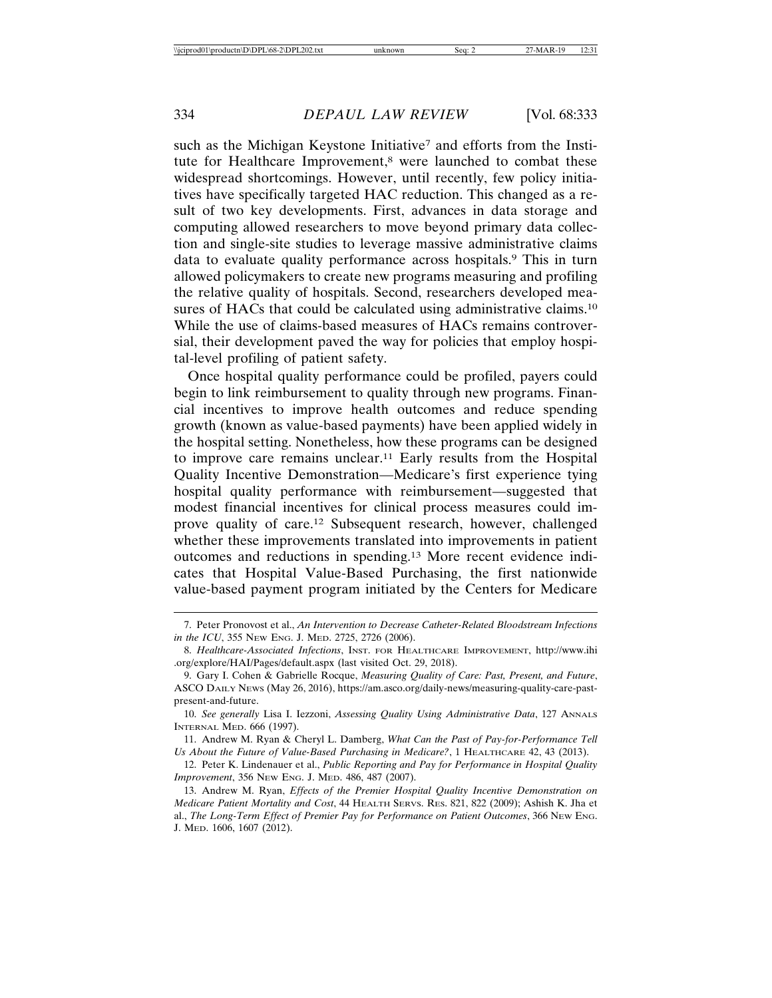such as the Michigan Keystone Initiative<sup>7</sup> and efforts from the Institute for Healthcare Improvement,<sup>8</sup> were launched to combat these widespread shortcomings. However, until recently, few policy initiatives have specifically targeted HAC reduction. This changed as a result of two key developments. First, advances in data storage and computing allowed researchers to move beyond primary data collection and single-site studies to leverage massive administrative claims data to evaluate quality performance across hospitals.<sup>9</sup> This in turn allowed policymakers to create new programs measuring and profiling the relative quality of hospitals. Second, researchers developed measures of HACs that could be calculated using administrative claims.<sup>10</sup> While the use of claims-based measures of HACs remains controversial, their development paved the way for policies that employ hospital-level profiling of patient safety.

Once hospital quality performance could be profiled, payers could begin to link reimbursement to quality through new programs. Financial incentives to improve health outcomes and reduce spending growth (known as value-based payments) have been applied widely in the hospital setting. Nonetheless, how these programs can be designed to improve care remains unclear.11 Early results from the Hospital Quality Incentive Demonstration—Medicare's first experience tying hospital quality performance with reimbursement—suggested that modest financial incentives for clinical process measures could improve quality of care.12 Subsequent research, however, challenged whether these improvements translated into improvements in patient outcomes and reductions in spending.13 More recent evidence indicates that Hospital Value-Based Purchasing, the first nationwide value-based payment program initiated by the Centers for Medicare

<sup>7.</sup> Peter Pronovost et al., *An Intervention to Decrease Catheter-Related Bloodstream Infections in the ICU*, 355 NEW ENG. J. MED. 2725, 2726 (2006).

<sup>8.</sup> *Healthcare-Associated Infections*, INST. FOR HEALTHCARE IMPROVEMENT, http://www.ihi .org/explore/HAI/Pages/default.aspx (last visited Oct. 29, 2018).

<sup>9.</sup> Gary I. Cohen & Gabrielle Rocque, *Measuring Quality of Care: Past, Present, and Future*, ASCO DAILY NEWS (May 26, 2016), https://am.asco.org/daily-news/measuring-quality-care-pastpresent-and-future.

<sup>10.</sup> *See generally* Lisa I. Iezzoni, *Assessing Quality Using Administrative Data*, 127 ANNALS INTERNAL MED. 666 (1997).

<sup>11.</sup> Andrew M. Ryan & Cheryl L. Damberg, *What Can the Past of Pay-for-Performance Tell* Us About the Future of Value-Based Purchasing in Medicare?, 1 HEALTHCARE 42, 43 (2013).

<sup>12.</sup> Peter K. Lindenauer et al., *Public Reporting and Pay for Performance in Hospital Quality Improvement*, 356 NEW ENG. J. MED. 486, 487 (2007).

<sup>13.</sup> Andrew M. Ryan, *Effects of the Premier Hospital Quality Incentive Demonstration on Medicare Patient Mortality and Cost*, 44 HEALTH SERVS. RES. 821, 822 (2009); Ashish K. Jha et al., *The Long-Term Effect of Premier Pay for Performance on Patient Outcomes*, 366 NEW ENG. J. MED. 1606, 1607 (2012).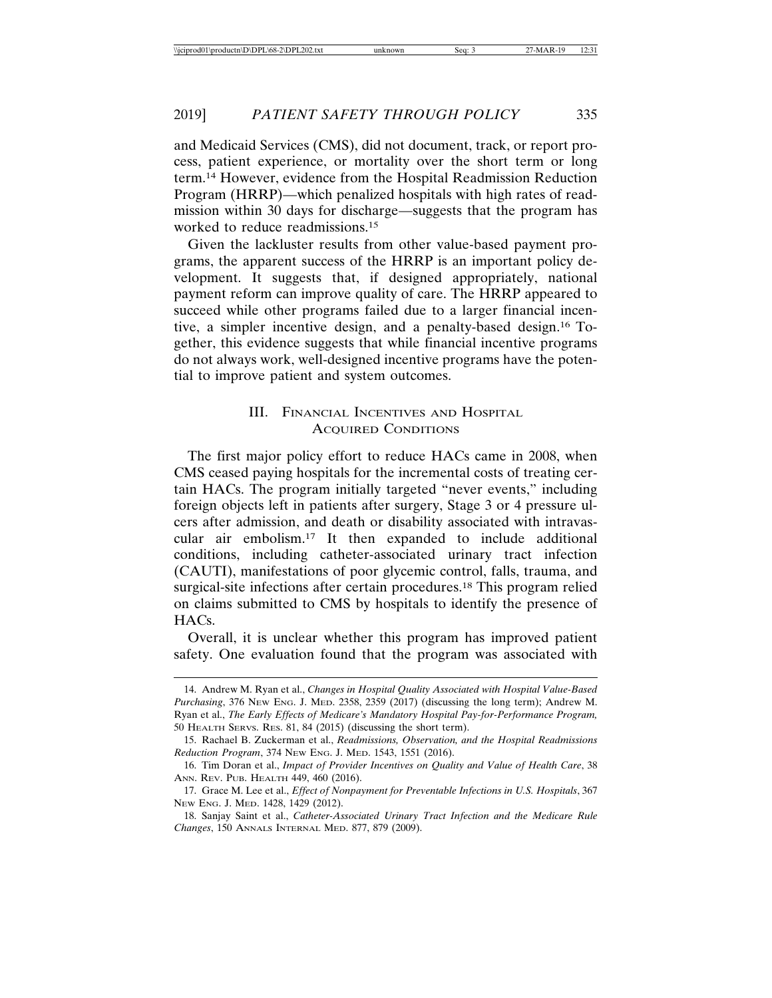and Medicaid Services (CMS), did not document, track, or report process, patient experience, or mortality over the short term or long term.14 However, evidence from the Hospital Readmission Reduction Program (HRRP)—which penalized hospitals with high rates of readmission within 30 days for discharge—suggests that the program has worked to reduce readmissions.15

Given the lackluster results from other value-based payment programs, the apparent success of the HRRP is an important policy development. It suggests that, if designed appropriately, national payment reform can improve quality of care. The HRRP appeared to succeed while other programs failed due to a larger financial incentive, a simpler incentive design, and a penalty-based design.16 Together, this evidence suggests that while financial incentive programs do not always work, well-designed incentive programs have the potential to improve patient and system outcomes.

#### III. FINANCIAL INCENTIVES AND HOSPITAL ACQUIRED CONDITIONS

The first major policy effort to reduce HACs came in 2008, when CMS ceased paying hospitals for the incremental costs of treating certain HACs. The program initially targeted "never events," including foreign objects left in patients after surgery, Stage 3 or 4 pressure ulcers after admission, and death or disability associated with intravascular air embolism.17 It then expanded to include additional conditions, including catheter-associated urinary tract infection (CAUTI), manifestations of poor glycemic control, falls, trauma, and surgical-site infections after certain procedures.18 This program relied on claims submitted to CMS by hospitals to identify the presence of HACs.

Overall, it is unclear whether this program has improved patient safety. One evaluation found that the program was associated with

<sup>14.</sup> Andrew M. Ryan et al., *Changes in Hospital Quality Associated with Hospital Value-Based Purchasing*, 376 NEW ENG. J. MED. 2358, 2359 (2017) (discussing the long term); Andrew M. Ryan et al., *The Early Effects of Medicare's Mandatory Hospital Pay-for-Performance Program,* 50 HEALTH SERVS. RES. 81, 84 (2015) (discussing the short term).

<sup>15.</sup> Rachael B. Zuckerman et al., *Readmissions, Observation, and the Hospital Readmissions Reduction Program*, 374 NEW ENG. J. MED. 1543, 1551 (2016).

<sup>16.</sup> Tim Doran et al., *Impact of Provider Incentives on Quality and Value of Health Care*, 38 ANN. REV. PUB. HEALTH 449, 460 (2016).

<sup>17.</sup> Grace M. Lee et al., *Effect of Nonpayment for Preventable Infections in U.S. Hospitals*, 367 NEW ENG. J. MED. 1428, 1429 (2012).

<sup>18.</sup> Sanjay Saint et al., *Catheter-Associated Urinary Tract Infection and the Medicare Rule Changes*, 150 ANNALS INTERNAL MED. 877, 879 (2009).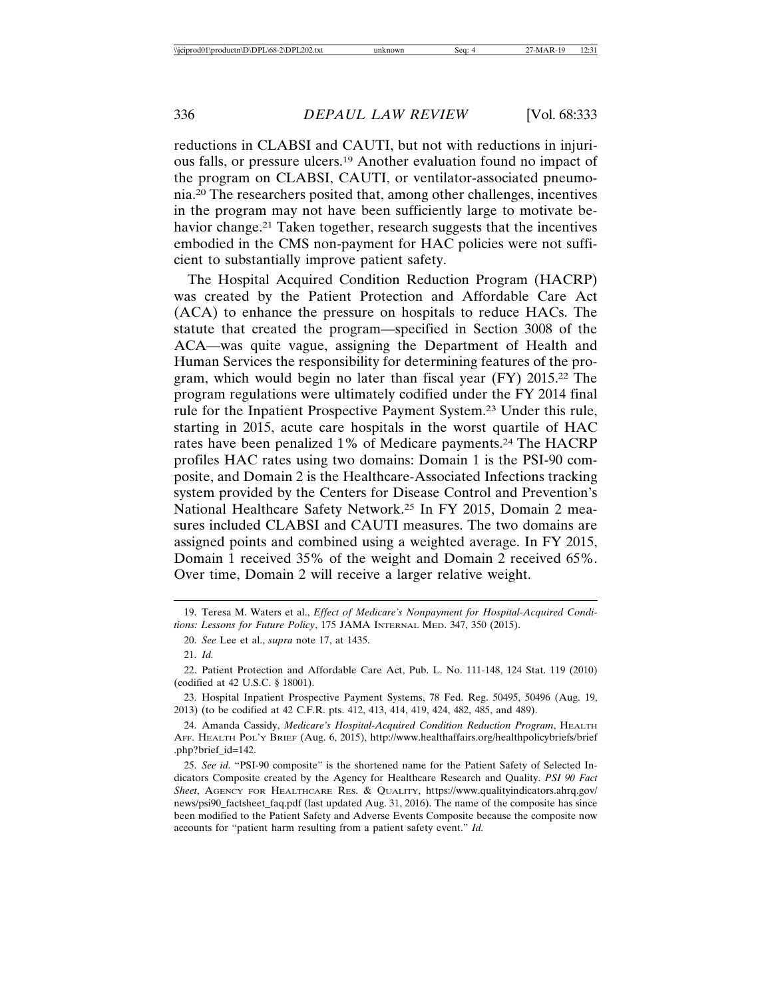reductions in CLABSI and CAUTI, but not with reductions in injurious falls, or pressure ulcers.19 Another evaluation found no impact of the program on CLABSI, CAUTI, or ventilator-associated pneumonia.20 The researchers posited that, among other challenges, incentives in the program may not have been sufficiently large to motivate behavior change.<sup>21</sup> Taken together, research suggests that the incentives embodied in the CMS non-payment for HAC policies were not sufficient to substantially improve patient safety.

The Hospital Acquired Condition Reduction Program (HACRP) was created by the Patient Protection and Affordable Care Act (ACA) to enhance the pressure on hospitals to reduce HACs. The statute that created the program—specified in Section 3008 of the ACA—was quite vague, assigning the Department of Health and Human Services the responsibility for determining features of the program, which would begin no later than fiscal year (FY) 2015.22 The program regulations were ultimately codified under the FY 2014 final rule for the Inpatient Prospective Payment System.23 Under this rule, starting in 2015, acute care hospitals in the worst quartile of HAC rates have been penalized 1% of Medicare payments.24 The HACRP profiles HAC rates using two domains: Domain 1 is the PSI-90 composite, and Domain 2 is the Healthcare-Associated Infections tracking system provided by the Centers for Disease Control and Prevention's National Healthcare Safety Network.25 In FY 2015, Domain 2 measures included CLABSI and CAUTI measures. The two domains are assigned points and combined using a weighted average. In FY 2015, Domain 1 received 35% of the weight and Domain 2 received 65%. Over time, Domain 2 will receive a larger relative weight.

<sup>19.</sup> Teresa M. Waters et al., *Effect of Medicare's Nonpayment for Hospital-Acquired Conditions: Lessons for Future Policy*, 175 JAMA INTERNAL MED. 347, 350 (2015).

<sup>20.</sup> *See* Lee et al., *supra* note 17, at 1435.

<sup>21.</sup> *Id.*

<sup>22.</sup> Patient Protection and Affordable Care Act, Pub. L. No. 111-148, 124 Stat. 119 (2010) (codified at 42 U.S.C. § 18001).

<sup>23.</sup> Hospital Inpatient Prospective Payment Systems, 78 Fed. Reg. 50495, 50496 (Aug. 19, 2013) (to be codified at 42 C.F.R. pts. 412, 413, 414, 419, 424, 482, 485, and 489).

<sup>24.</sup> Amanda Cassidy, *Medicare's Hospital-Acquired Condition Reduction Program*, HEALTH AFF. HEALTH POL'Y BRIEF (Aug. 6, 2015), http://www.healthaffairs.org/healthpolicybriefs/brief .php?brief\_id=142.

<sup>25.</sup> *See id.* "PSI-90 composite" is the shortened name for the Patient Safety of Selected Indicators Composite created by the Agency for Healthcare Research and Quality. *PSI 90 Fact Sheet*, AGENCY FOR HEALTHCARE RES. & QUALITY, https://www.qualityindicators.ahrq.gov/ news/psi90\_factsheet\_faq.pdf (last updated Aug. 31, 2016). The name of the composite has since been modified to the Patient Safety and Adverse Events Composite because the composite now accounts for "patient harm resulting from a patient safety event." *Id.*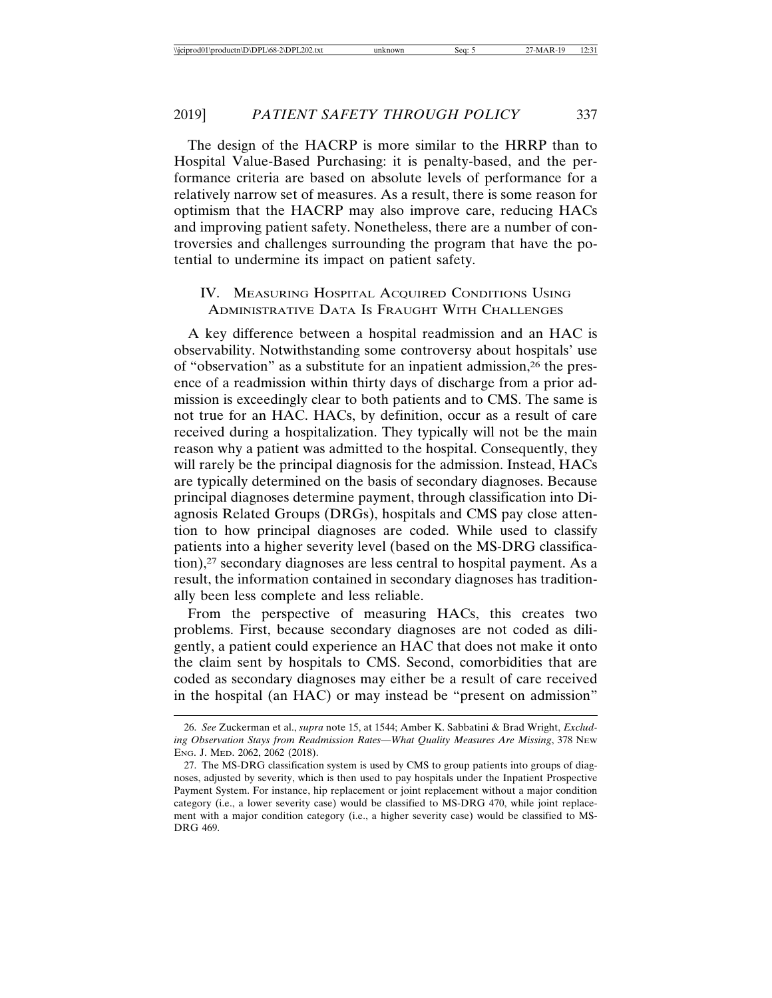#### 2019] *PATIENT SAFETY THROUGH POLICY* 337

The design of the HACRP is more similar to the HRRP than to Hospital Value-Based Purchasing: it is penalty-based, and the performance criteria are based on absolute levels of performance for a relatively narrow set of measures. As a result, there is some reason for optimism that the HACRP may also improve care, reducing HACs and improving patient safety. Nonetheless, there are a number of controversies and challenges surrounding the program that have the potential to undermine its impact on patient safety.

#### IV. MEASURING HOSPITAL ACQUIRED CONDITIONS USING ADMINISTRATIVE DATA IS FRAUGHT WITH CHALLENGES

A key difference between a hospital readmission and an HAC is observability. Notwithstanding some controversy about hospitals' use of "observation" as a substitute for an inpatient admission,26 the presence of a readmission within thirty days of discharge from a prior admission is exceedingly clear to both patients and to CMS. The same is not true for an HAC. HACs, by definition, occur as a result of care received during a hospitalization. They typically will not be the main reason why a patient was admitted to the hospital. Consequently, they will rarely be the principal diagnosis for the admission. Instead, HACs are typically determined on the basis of secondary diagnoses. Because principal diagnoses determine payment, through classification into Diagnosis Related Groups (DRGs), hospitals and CMS pay close attention to how principal diagnoses are coded. While used to classify patients into a higher severity level (based on the MS-DRG classification),<sup>27</sup> secondary diagnoses are less central to hospital payment. As a result, the information contained in secondary diagnoses has traditionally been less complete and less reliable.

From the perspective of measuring HACs, this creates two problems. First, because secondary diagnoses are not coded as diligently, a patient could experience an HAC that does not make it onto the claim sent by hospitals to CMS. Second, comorbidities that are coded as secondary diagnoses may either be a result of care received in the hospital (an HAC) or may instead be "present on admission"

<sup>26.</sup> *See* Zuckerman et al., *supra* note 15, at 1544; Amber K. Sabbatini & Brad Wright, *Excluding Observation Stays from Readmission Rates—What Quality Measures Are Missing*, 378 NEW ENG. J. MED. 2062, 2062 (2018).

<sup>27.</sup> The MS-DRG classification system is used by CMS to group patients into groups of diagnoses, adjusted by severity, which is then used to pay hospitals under the Inpatient Prospective Payment System. For instance, hip replacement or joint replacement without a major condition category (i.e., a lower severity case) would be classified to MS-DRG 470, while joint replacement with a major condition category (i.e., a higher severity case) would be classified to MS-DRG 469.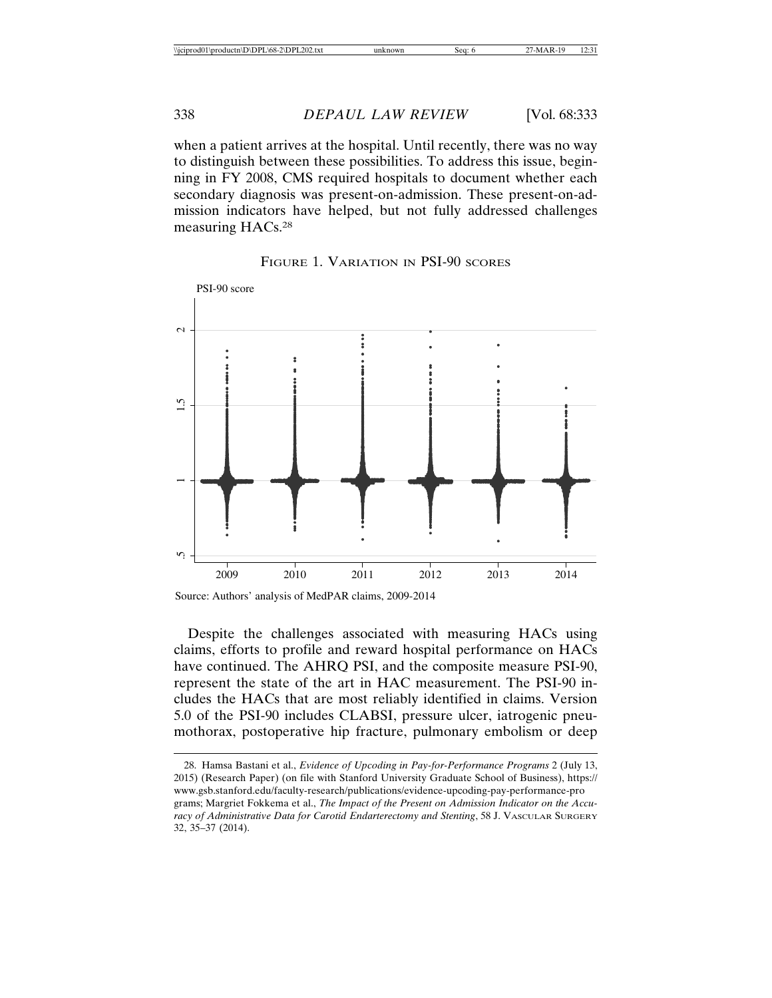when a patient arrives at the hospital. Until recently, there was no way to distinguish between these possibilities. To address this issue, beginning in FY 2008, CMS required hospitals to document whether each secondary diagnosis was present-on-admission. These present-on-admission indicators have helped, but not fully addressed challenges measuring HACs.28





Source: Authors' analysis of MedPAR claims, 2009-2014

Despite the challenges associated with measuring HACs using claims, efforts to profile and reward hospital performance on HACs have continued. The AHRQ PSI, and the composite measure PSI-90, represent the state of the art in HAC measurement. The PSI-90 includes the HACs that are most reliably identified in claims. Version 5.0 of the PSI-90 includes CLABSI, pressure ulcer, iatrogenic pneumothorax, postoperative hip fracture, pulmonary embolism or deep

<sup>28.</sup> Hamsa Bastani et al., *Evidence of Upcoding in Pay-for-Performance Programs* 2 (July 13, 2015) (Research Paper) (on file with Stanford University Graduate School of Business), https:// www.gsb.stanford.edu/faculty-research/publications/evidence-upcoding-pay-performance-pro grams; Margriet Fokkema et al., *The Impact of the Present on Admission Indicator on the Accu*racy of Administrative Data for Carotid Endarterectomy and Stenting, 58 J. VASCULAR SURGERY 32, 35–37 (2014).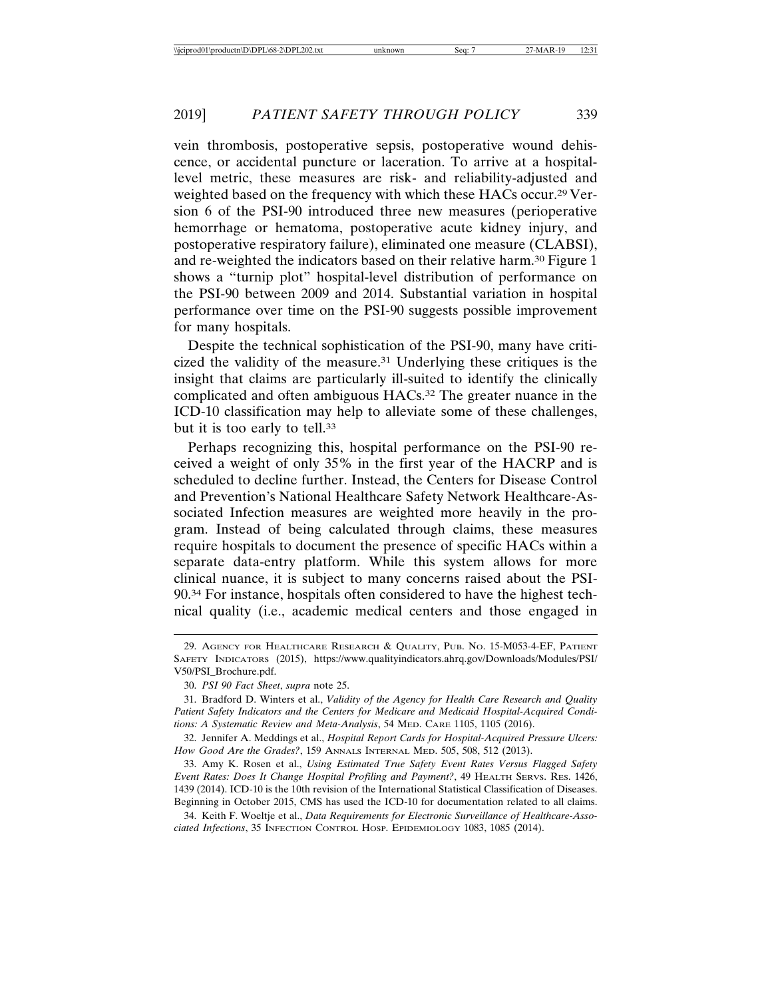vein thrombosis, postoperative sepsis, postoperative wound dehiscence, or accidental puncture or laceration. To arrive at a hospitallevel metric, these measures are risk- and reliability-adjusted and weighted based on the frequency with which these HACs occur.29 Version 6 of the PSI-90 introduced three new measures (perioperative hemorrhage or hematoma, postoperative acute kidney injury, and postoperative respiratory failure), eliminated one measure (CLABSI), and re-weighted the indicators based on their relative harm.30 Figure 1 shows a "turnip plot" hospital-level distribution of performance on the PSI-90 between 2009 and 2014. Substantial variation in hospital performance over time on the PSI-90 suggests possible improvement for many hospitals.

Despite the technical sophistication of the PSI-90, many have criticized the validity of the measure.31 Underlying these critiques is the insight that claims are particularly ill-suited to identify the clinically complicated and often ambiguous HACs.32 The greater nuance in the ICD-10 classification may help to alleviate some of these challenges, but it is too early to tell.<sup>33</sup>

Perhaps recognizing this, hospital performance on the PSI-90 received a weight of only 35% in the first year of the HACRP and is scheduled to decline further. Instead, the Centers for Disease Control and Prevention's National Healthcare Safety Network Healthcare-Associated Infection measures are weighted more heavily in the program. Instead of being calculated through claims, these measures require hospitals to document the presence of specific HACs within a separate data-entry platform. While this system allows for more clinical nuance, it is subject to many concerns raised about the PSI-90.34 For instance, hospitals often considered to have the highest technical quality (i.e., academic medical centers and those engaged in

34. Keith F. Woeltje et al., *Data Requirements for Electronic Surveillance of Healthcare-Associated Infections*, 35 INFECTION CONTROL HOSP. EPIDEMIOLOGY 1083, 1085 (2014).

<sup>29.</sup> AGENCY FOR HEALTHCARE RESEARCH & QUALITY, PUB. NO. 15-M053-4-EF, PATIENT SAFETY INDICATORS (2015), https://www.qualityindicators.ahrq.gov/Downloads/Modules/PSI/ V50/PSI\_Brochure.pdf.

<sup>30.</sup> *PSI 90 Fact Sheet*, *supra* note 25.

<sup>31.</sup> Bradford D. Winters et al., *Validity of the Agency for Health Care Research and Quality Patient Safety Indicators and the Centers for Medicare and Medicaid Hospital-Acquired Conditions: A Systematic Review and Meta-Analysis*, 54 MED. CARE 1105, 1105 (2016).

<sup>32.</sup> Jennifer A. Meddings et al., *Hospital Report Cards for Hospital-Acquired Pressure Ulcers: How Good Are the Grades?*, 159 ANNALS INTERNAL MED. 505, 508, 512 (2013).

<sup>33.</sup> Amy K. Rosen et al., *Using Estimated True Safety Event Rates Versus Flagged Safety Event Rates: Does It Change Hospital Profiling and Payment?*, 49 HEALTH SERVS. RES. 1426, 1439 (2014). ICD-10 is the 10th revision of the International Statistical Classification of Diseases. Beginning in October 2015, CMS has used the ICD-10 for documentation related to all claims.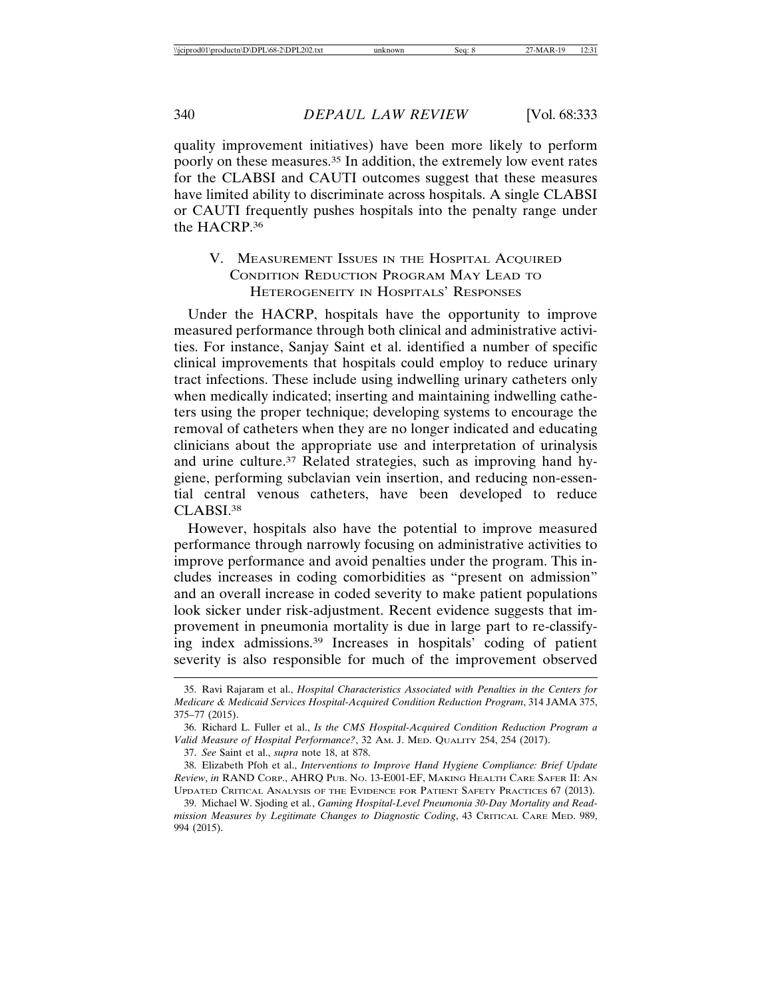quality improvement initiatives) have been more likely to perform poorly on these measures.35 In addition, the extremely low event rates for the CLABSI and CAUTI outcomes suggest that these measures have limited ability to discriminate across hospitals. A single CLABSI or CAUTI frequently pushes hospitals into the penalty range under the HACRP.36

## V. MEASUREMENT ISSUES IN THE HOSPITAL ACQUIRED CONDITION REDUCTION PROGRAM MAY LEAD TO HETEROGENEITY IN HOSPITALS' RESPONSES

Under the HACRP, hospitals have the opportunity to improve measured performance through both clinical and administrative activities. For instance, Sanjay Saint et al. identified a number of specific clinical improvements that hospitals could employ to reduce urinary tract infections. These include using indwelling urinary catheters only when medically indicated; inserting and maintaining indwelling catheters using the proper technique; developing systems to encourage the removal of catheters when they are no longer indicated and educating clinicians about the appropriate use and interpretation of urinalysis and urine culture.<sup>37</sup> Related strategies, such as improving hand hygiene, performing subclavian vein insertion, and reducing non-essential central venous catheters, have been developed to reduce CLABSI.<sup>38</sup>

However, hospitals also have the potential to improve measured performance through narrowly focusing on administrative activities to improve performance and avoid penalties under the program. This includes increases in coding comorbidities as "present on admission" and an overall increase in coded severity to make patient populations look sicker under risk-adjustment. Recent evidence suggests that improvement in pneumonia mortality is due in large part to re-classifying index admissions.39 Increases in hospitals' coding of patient severity is also responsible for much of the improvement observed

<sup>35.</sup> Ravi Rajaram et al., *Hospital Characteristics Associated with Penalties in the Centers for Medicare & Medicaid Services Hospital-Acquired Condition Reduction Program*, 314 JAMA 375, 375–77 (2015).

<sup>36.</sup> Richard L. Fuller et al., *Is the CMS Hospital-Acquired Condition Reduction Program a Valid Measure of Hospital Performance?*, 32 AM. J. MED. QUALITY 254, 254 (2017).

<sup>37.</sup> *See* Saint et al., *supra* note 18, at 878.

<sup>38.</sup> Elizabeth Pfoh et al., *Interventions to Improve Hand Hygiene Compliance: Brief Update Review*, *in* RAND CORP., AHRQ PUB. NO. 13-E001-EF, MAKING HEALTH CARE SAFER II: AN UPDATED CRITICAL ANALYSIS OF THE EVIDENCE FOR PATIENT SAFETY PRACTICES 67 (2013).

<sup>39.</sup> Michael W. Sjoding et al*.*, *Gaming Hospital-Level Pneumonia 30-Day Mortality and Readmission Measures by Legitimate Changes to Diagnostic Coding*, 43 CRITICAL CARE MED. 989, 994 (2015).